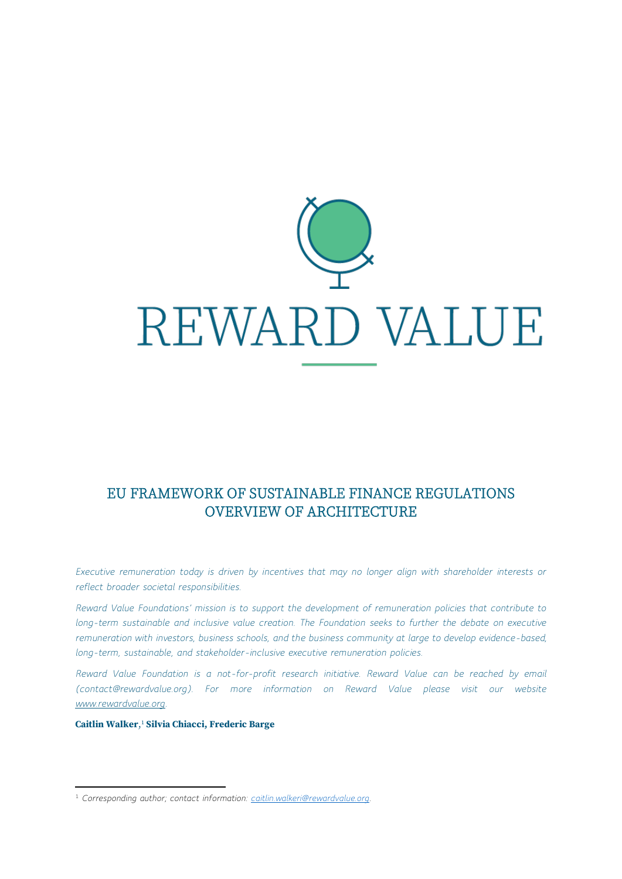

# EU FRAMEWORK OF SUSTAINABLE FINANCE REGULATIONS OVERVIEW OF ARCHITECTURE

*Executive remuneration today is driven by incentives that may no longer align with shareholder interests or reflect broader societal responsibilities.*

*Reward Value Foundations' mission is to support the development of remuneration policies that contribute to long-term sustainable and inclusive value creation. The Foundation seeks to further the debate on executive remuneration with investors, business schools, and the business community at large to develop evidence-based, long-term, sustainable, and stakeholder-inclusive executive remuneration policies.*

*Reward Value Foundation is a not-for-profit research initiative. Reward Value can be reached by email (contact@rewardvalue.org). For more information on Reward Value please visit our website [www.rewardvalue.org.](http://www.rewardvalue.org/)*

**Caitlin Walker**, <sup>1</sup> **Silvia Chiacci, Frederic Barge**

<sup>1</sup> *Corresponding author; contact information: [caitlin.walkeri@rewardvalue.org.](mailto:caitlin.walkeri@rewardvalue.org)*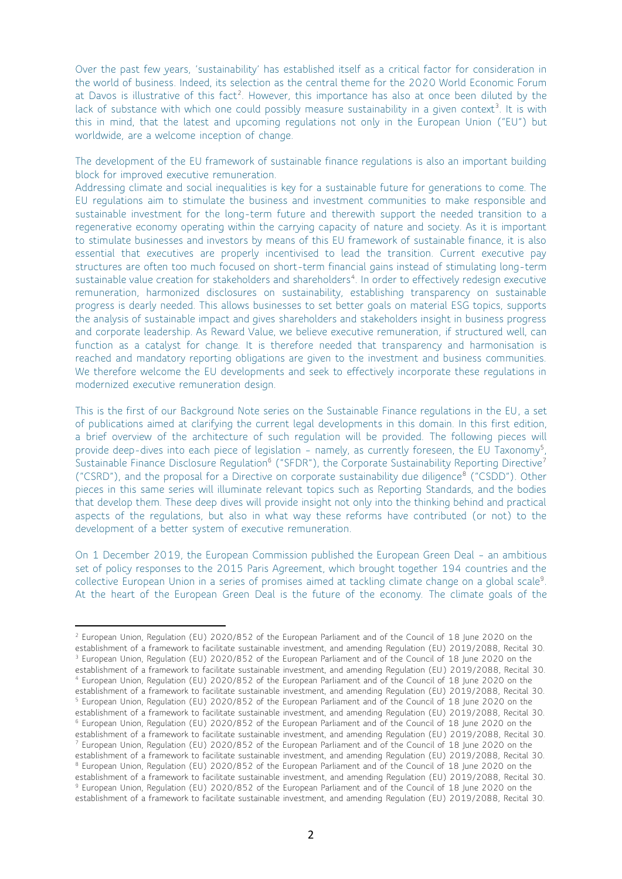Over the past few years, 'sustainability' has established itself as a critical factor for consideration in the world of business. Indeed, its selection as the central theme for the 2020 World Economic Forum at Davos is illustrative of this fact<sup>2</sup>. However, this importance has also at once been diluted by the lack of substance with which one could possibly measure sustainability in a given context<sup>3</sup>. It is with this in mind, that the latest and upcoming regulations not only in the European Union ("EU") but worldwide, are a welcome inception of change.

The development of the EU framework of sustainable finance regulations is also an important building block for improved executive remuneration.

Addressing climate and social inequalities is key for a sustainable future for generations to come. The EU regulations aim to stimulate the business and investment communities to make responsible and sustainable investment for the long-term future and therewith support the needed transition to a regenerative economy operating within the carrying capacity of nature and society. As it is important to stimulate businesses and investors by means of this EU framework of sustainable finance, it is also essential that executives are properly incentivised to lead the transition. Current executive pay structures are often too much focused on short-term financial gains instead of stimulating long-term sustainable value creation for stakeholders and shareholders<sup>4</sup>. In order to effectively redesign executive remuneration, harmonized disclosures on sustainability, establishing transparency on sustainable progress is dearly needed. This allows businesses to set better goals on material ESG topics, supports the analysis of sustainable impact and gives shareholders and stakeholders insight in business progress and corporate leadership. As Reward Value, we believe executive remuneration, if structured well, can function as a catalyst for change. It is therefore needed that transparency and harmonisation is reached and mandatory reporting obligations are given to the investment and business communities. We therefore welcome the EU developments and seek to effectively incorporate these regulations in modernized executive remuneration design.

This is the first of our Background Note series on the Sustainable Finance regulations in the EU, a set of publications aimed at clarifying the current legal developments in this domain. In this first edition, a brief overview of the architecture of such regulation will be provided. The following pieces will provide deep-dives into each piece of legislation - namely, as currently foreseen, the EU Taxonomy<sup>5</sup>, Sustainable Finance Disclosure Regulation<sup>6</sup> ("SFDR"), the Corporate Sustainability Reporting Directive<sup>7</sup> ("CSRD"), and the proposal for a Directive on corporate sustainability due diligence<sup>8</sup> ("CSDD"). Other pieces in this same series will illuminate relevant topics such as Reporting Standards, and the bodies that develop them. These deep dives will provide insight not only into the thinking behind and practical aspects of the regulations, but also in what way these reforms have contributed (or not) to the development of a better system of executive remuneration.

On 1 December 2019, the European Commission published the European Green Deal – an ambitious set of policy responses to the 2015 Paris Agreement, which brought together 194 countries and the collective European Union in a series of promises aimed at tackling climate change on a global scale<sup>9</sup>. At the heart of the European Green Deal is the future of the economy. The climate goals of the

<sup>&</sup>lt;sup>2</sup> European Union, Regulation (EU) 2020/852 of the European Parliament and of the Council of 18 June 2020 on the establishment of a framework to facilitate sustainable investment, and amending Regulation (EU) 2019/2088, Recital 30. <sup>3</sup> European Union, Regulation (EU) 2020/852 of the European Parliament and of the Council of 18 June 2020 on the establishment of a framework to facilitate sustainable investment, and amending Regulation (EU) 2019/2088, Recital 30. <sup>4</sup> European Union, Regulation (EU) 2020/852 of the European Parliament and of the Council of 18 June 2020 on the establishment of a framework to facilitate sustainable investment, and amending Regulation (EU) 2019/2088, Recital 30. <sup>5</sup> European Union, Regulation (EU) 2020/852 of the European Parliament and of the Council of 18 June 2020 on the establishment of a framework to facilitate sustainable investment, and amending Regulation (EU) 2019/2088, Recital 30. <sup>6</sup> European Union, Regulation (EU) 2020/852 of the European Parliament and of the Council of 18 June 2020 on the establishment of a framework to facilitate sustainable investment, and amending Regulation (EU) 2019/2088, Recital 30. <sup>7</sup> European Union, Regulation (EU) 2020/852 of the European Parliament and of the Council of 18 June 2020 on the establishment of a framework to facilitate sustainable investment, and amending Regulation (EU) 2019/2088, Recital 30. 8 European Union, Regulation (EU) 2020/852 of the European Parliament and of the Council of 18 June 2020 on the establishment of a framework to facilitate sustainable investment, and amending Regulation (EU) 2019/2088, Recital 30. <sup>9</sup> European Union, Regulation (EU) 2020/852 of the European Parliament and of the Council of 18 June 2020 on the establishment of a framework to facilitate sustainable investment, and amending Regulation (EU) 2019/2088, Recital 30.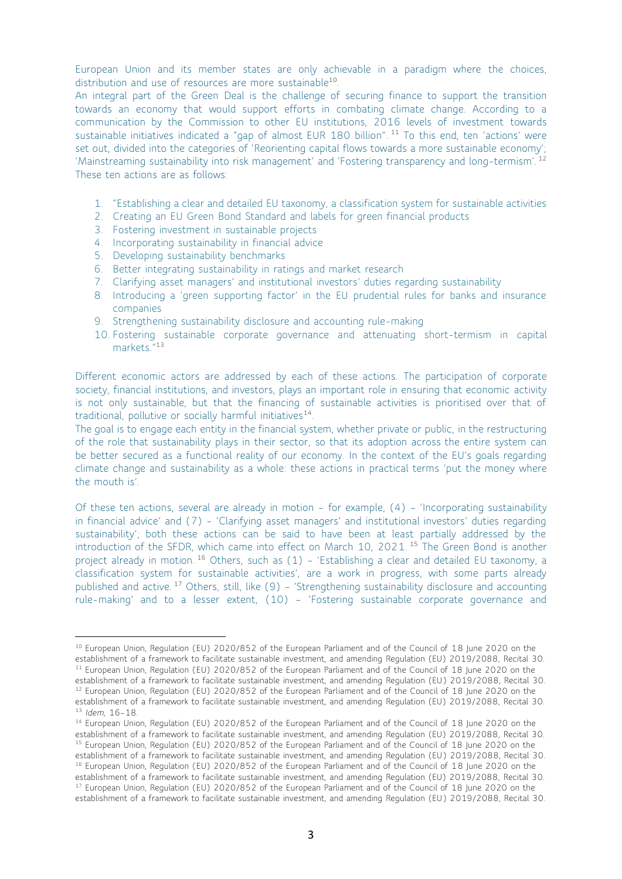European Union and its member states are only achievable in a paradigm where the choices, distribution and use of resources are more sustainable<sup>10</sup>.

An integral part of the Green Deal is the challenge of securing finance to support the transition towards an economy that would support efforts in combating climate change. According to a communication by the Commission to other EU institutions, 2016 levels of investment towards sustainable initiatives indicated a "gap of almost EUR 180 billion". <sup>11</sup> To this end, ten 'actions' were set out, divided into the categories of 'Reorienting capital flows towards a more sustainable economy'; 'Mainstreaming sustainability into risk management' and 'Fostering transparency and long-termism'. <sup>12</sup> These ten actions are as follows:

- 1. "Establishing a clear and detailed EU taxonomy, a classification system for sustainable activities
- 2. Creating an EU Green Bond Standard and labels for green financial products
- 3. Fostering investment in sustainable projects
- 4. Incorporating sustainability in financial advice
- 5. Developing sustainability benchmarks
- 6. Better integrating sustainability in ratings and market research
- 7. Clarifying asset managers' and institutional investors' duties regarding sustainability
- 8. Introducing a 'green supporting factor' in the EU prudential rules for banks and insurance companies
- 9. Strengthening sustainability disclosure and accounting rule-making
- 10. Fostering sustainable corporate governance and attenuating short-termism in capital markets."<sup>13</sup>

Different economic actors are addressed by each of these actions. The participation of corporate society, financial institutions, and investors, plays an important role in ensuring that economic activity is not only sustainable, but that the financing of sustainable activities is prioritised over that of traditional, pollutive or socially harmful initiatives<sup>14</sup>.

The goal is to engage each entity in the financial system, whether private or public, in the restructuring of the role that sustainability plays in their sector, so that its adoption across the entire system can be better secured as a functional reality of our economy. In the context of the EU's goals regarding climate change and sustainability as a whole: these actions in practical terms 'put the money where the mouth is'.

Of these ten actions, several are already in motion – for example, (4) – 'Incorporating sustainability in financial advice' and (7) – 'Clarifying asset managers' and institutional investors' duties regarding sustainability'; both these actions can be said to have been at least partially addressed by the introduction of the SFDR, which came into effect on March 10, 2021. <sup>15</sup> The Green Bond is another project already in motion.<sup>16</sup> Others, such as (1) - 'Establishing a clear and detailed EU taxonomy, a classification system for sustainable activities', are a work in progress, with some parts already published and active. <sup>17</sup> Others, still, like (9) – 'Strengthening sustainability disclosure and accounting rule-making' and to a lesser extent, (10) – 'Fostering sustainable corporate governance and

<sup>&</sup>lt;sup>10</sup> European Union, Regulation (EU) 2020/852 of the European Parliament and of the Council of 18 June 2020 on the establishment of a framework to facilitate sustainable investment, and amending Regulation (EU) 2019/2088, Recital 30. <sup>11</sup> European Union, Regulation (EU) 2020/852 of the European Parliament and of the Council of 18 June 2020 on the establishment of a framework to facilitate sustainable investment, and amending Regulation (EU) 2019/2088, Recital 30.

<sup>&</sup>lt;sup>12</sup> European Union, Regulation (EU) 2020/852 of the European Parliament and of the Council of 18 June 2020 on the establishment of a framework to facilitate sustainable investment, and amending Regulation (EU) 2019/2088, Recital 30. <sup>13</sup> *Idem*, 16–18.

<sup>&</sup>lt;sup>14</sup> European Union, Regulation (EU) 2020/852 of the European Parliament and of the Council of 18 June 2020 on the establishment of a framework to facilitate sustainable investment, and amending Regulation (EU) 2019/2088, Recital 30. <sup>15</sup> European Union, Regulation (EU) 2020/852 of the European Parliament and of the Council of 18 June 2020 on the establishment of a framework to facilitate sustainable investment, and amending Regulation (EU) 2019/2088, Recital 30.

<sup>&</sup>lt;sup>16</sup> European Union, Regulation (EU) 2020/852 of the European Parliament and of the Council of 18 June 2020 on the establishment of a framework to facilitate sustainable investment, and amending Regulation (EU) 2019/2088, Recital 30.

<sup>&</sup>lt;sup>17</sup> European Union, Regulation (EU) 2020/852 of the European Parliament and of the Council of 18 June 2020 on the establishment of a framework to facilitate sustainable investment, and amending Regulation (EU) 2019/2088, Recital 30.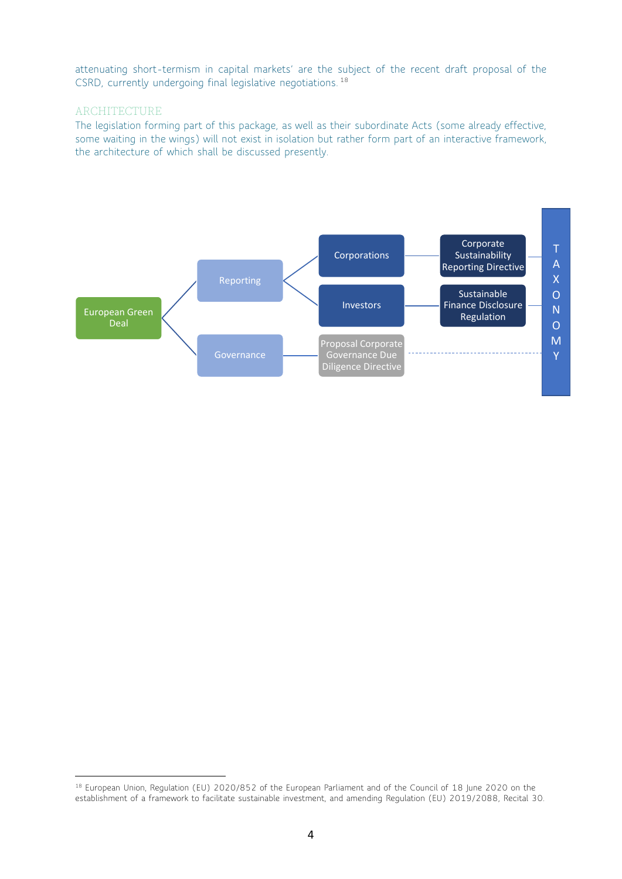attenuating short-termism in capital markets' are the subject of the recent draft proposal of the CSRD, currently undergoing final legislative negotiations. 18

## **ARCHITECTURE**

The legislation forming part of this package, as well as their subordinate Acts (some already effective, some waiting in the wings) will not exist in isolation but rather form part of an interactive framework, the architecture of which shall be discussed presently.



<sup>&</sup>lt;sup>18</sup> European Union, Regulation (EU) 2020/852 of the European Parliament and of the Council of 18 June 2020 on the establishment of a framework to facilitate sustainable investment, and amending Regulation (EU) 2019/2088, Recital 30.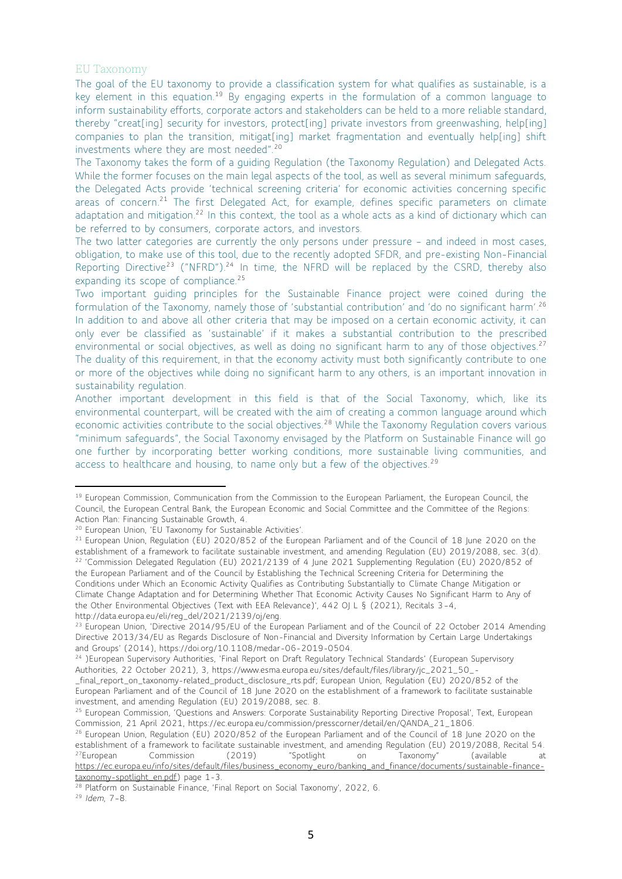#### EU Taxonomy

The goal of the EU taxonomy to provide a classification system for what qualifies as sustainable, is a key element in this equation.<sup>19</sup> By engaging experts in the formulation of a common language to inform sustainability efforts, corporate actors and stakeholders can be held to a more reliable standard, thereby "creat[ing] security for investors, protect[ing] private investors from greenwashing, help[ing] companies to plan the transition, mitigat[ing] market fragmentation and eventually help[ing] shift investments where they are most needed".<sup>20</sup>

The Taxonomy takes the form of a guiding Regulation (the Taxonomy Regulation) and Delegated Acts. While the former focuses on the main legal aspects of the tool, as well as several minimum safeguards, the Delegated Acts provide 'technical screening criteria' for economic activities concerning specific areas of concern.<sup>21</sup> The first Delegated Act, for example, defines specific parameters on climate adaptation and mitigation.<sup>22</sup> In this context, the tool as a whole acts as a kind of dictionary which can be referred to by consumers, corporate actors, and investors.

The two latter categories are currently the only persons under pressure – and indeed in most cases, obligation, to make use of this tool, due to the recently adopted SFDR, and pre-existing Non-Financial Reporting Directive<sup>23</sup> ("NFRD").<sup>24</sup> In time, the NFRD will be replaced by the CSRD, thereby also expanding its scope of compliance.<sup>25</sup>

Two important guiding principles for the Sustainable Finance project were coined during the formulation of the Taxonomy, namely those of 'substantial contribution' and 'do no significant harm'. 26 In addition to and above all other criteria that may be imposed on a certain economic activity, it can only ever be classified as 'sustainable' if it makes a substantial contribution to the prescribed environmental or social objectives, as well as doing no significant harm to any of those objectives.<sup>27</sup> The duality of this requirement, in that the economy activity must both significantly contribute to one or more of the objectives while doing no significant harm to any others, is an important innovation in sustainability regulation.

Another important development in this field is that of the Social Taxonomy, which, like its environmental counterpart, will be created with the aim of creating a common language around which economic activities contribute to the social objectives.<sup>28</sup> While the Taxonomy Regulation covers various "minimum safeguards", the Social Taxonomy envisaged by the Platform on Sustainable Finance will go one further by incorporating better working conditions, more sustainable living communities, and access to healthcare and housing, to name only but a few of the objectives.<sup>29</sup>

<sup>&</sup>lt;sup>19</sup> European Commission, Communication from the Commission to the European Parliament, the European Council, the Council, the European Central Bank, the European Economic and Social Committee and the Committee of the Regions: Action Plan: Financing Sustainable Growth, 4.

<sup>20</sup> European Union, 'EU Taxonomy for Sustainable Activities'.

<sup>&</sup>lt;sup>21</sup> European Union, Regulation (EU) 2020/852 of the European Parliament and of the Council of 18 June 2020 on the establishment of a framework to facilitate sustainable investment, and amending Regulation (EU) 2019/2088, sec. 3(d). <sup>22</sup> 'Commission Delegated Regulation (EU) 2021/2139 of 4 June 2021 Supplementing Regulation (EU) 2020/852 of the European Parliament and of the Council by Establishing the Technical Screening Criteria for Determining the Conditions under Which an Economic Activity Qualifies as Contributing Substantially to Climate Change Mitigation or Climate Change Adaptation and for Determining Whether That Economic Activity Causes No Significant Harm to Any of the Other Environmental Objectives (Text with EEA Relevance)', 442 OJ L § (2021), Recitals 3–4, http://data.europa.eu/eli/reg\_del/2021/2139/oj/eng.

<sup>&</sup>lt;sup>23</sup> European Union, 'Directive 2014/95/EU of the European Parliament and of the Council of 22 October 2014 Amending Directive 2013/34/EU as Regards Disclosure of Non-Financial and Diversity Information by Certain Large Undertakings and Groups' (2014), https://doi.org/10.1108/medar-06-2019-0504.

<sup>&</sup>lt;sup>24</sup> )European Supervisory Authorities, 'Final Report on Draft Regulatory Technical Standards' (European Supervisory Authorities, 22 October 2021), 3, https://www.esma.europa.eu/sites/default/files/library/jc\_2021\_50\_-

\_final\_report\_on\_taxonomy-related\_product\_disclosure\_rts.pdf; European Union, Regulation (EU) 2020/852 of the European Parliament and of the Council of 18 June 2020 on the establishment of a framework to facilitate sustainable investment, and amending Regulation (EU) 2019/2088, sec. 8.

<sup>&</sup>lt;sup>25</sup> European Commission, 'Questions and Answers: Corporate Sustainability Reporting Directive Proposal', Text, European Commission, 21 April 2021, https://ec.europa.eu/commission/presscorner/detail/en/QANDA\_21\_1806.

<sup>&</sup>lt;sup>26</sup> European Union, Regulation (EU) 2020/852 of the European Parliament and of the Council of 18 June 2020 on the establishment of a framework to facilitate sustainable investment, and amending Regulation (EU) 2019/2088, Recital 54.<br><sup>27</sup>European Commission (2019) "Spotlight on Taxonomy" (available at <sup>27</sup>European Commission (2019) "Spotlight on Taxonomy" (available at [https://ec.europa.eu/info/sites/default/files/business\\_economy\\_euro/banking\\_and\\_finance/documents/sustainable-finance](https://ec.europa.eu/info/sites/default/files/business_economy_euro/banking_and_finance/documents/sustainable-finance-taxonomy-spotlight_en.pdf)[taxonomy-spotlight\\_en.pdf\)](https://ec.europa.eu/info/sites/default/files/business_economy_euro/banking_and_finance/documents/sustainable-finance-taxonomy-spotlight_en.pdf) page 1-3.

<sup>&</sup>lt;sup>28</sup> Platform on Sustainable Finance, 'Final Report on Social Taxonomy', 2022, 6.

<sup>29</sup> *Idem*, 7–8.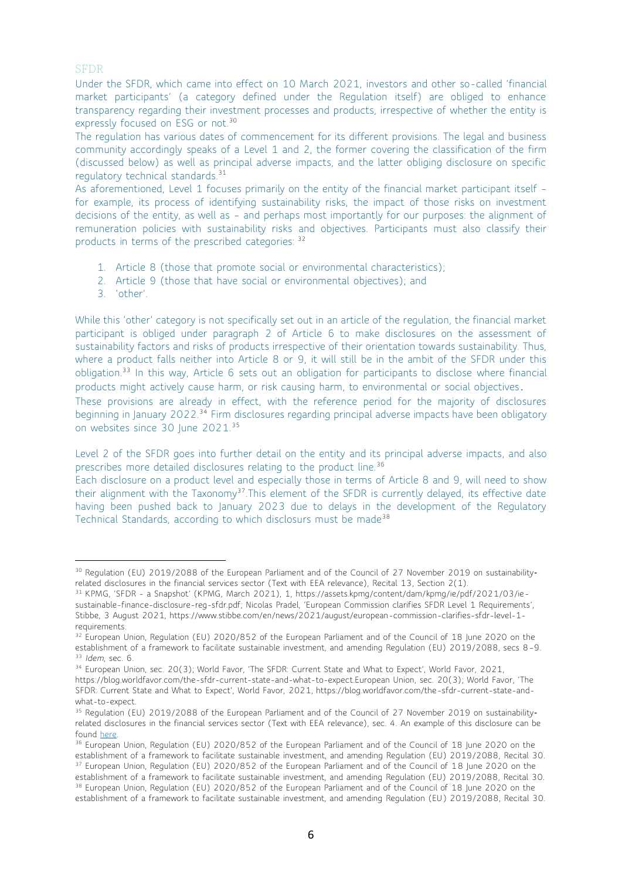### SFDR

Under the SFDR, which came into effect on 10 March 2021, investors and other so-called 'financial market participants' (a category defined under the Regulation itself) are obliged to enhance transparency regarding their investment processes and products, irrespective of whether the entity is expressly focused on ESG or not.<sup>30</sup>

The regulation has various dates of commencement for its different provisions. The legal and business community accordingly speaks of a Level 1 and 2, the former covering the classification of the firm (discussed below) as well as principal adverse impacts, and the latter obliging disclosure on specific regulatory technical standards.<sup>31</sup>

As aforementioned, Level 1 focuses primarily on the entity of the financial market participant itself – for example, its process of identifying sustainability risks, the impact of those risks on investment decisions of the entity, as well as – and perhaps most importantly for our purposes: the alignment of remuneration policies with sustainability risks and objectives. Participants must also classify their products in terms of the prescribed categories: <sup>32</sup>

- 1. Article 8 (those that promote social or environmental characteristics);
- 2. Article 9 (those that have social or environmental objectives); and
- 3. 'other'.

While this 'other' category is not specifically set out in an article of the regulation, the financial market participant is obliged under paragraph 2 of Article 6 to make disclosures on the assessment of sustainability factors and risks of products irrespective of their orientation towards sustainability. Thus, where a product falls neither into Article 8 or 9, it will still be in the ambit of the SFDR under this obligation.<sup>33</sup> In this way, Article 6 sets out an obligation for participants to disclose where financial products might actively cause harm, or risk causing harm, to environmental or social objectives.

These provisions are already in effect, with the reference period for the majority of disclosures beginning in January 2022.<sup>34</sup> Firm disclosures regarding principal adverse impacts have been obligatory on websites since 30 June 2021.<sup>35</sup>

Level 2 of the SFDR goes into further detail on the entity and its principal adverse impacts, and also prescribes more detailed disclosures relating to the product line.<sup>36</sup>

Each disclosure on a product level and especially those in terms of Article 8 and 9, will need to show their alignment with the Taxonomy<sup>37</sup>. This element of the SFDR is currently delayed, its effective date having been pushed back to January 2023 due to delays in the development of the Regulatory Technical Standards, according to which disclosurs must be made<sup>38</sup>

<sup>&</sup>lt;sup>30</sup> Regulation (EU) 2019/2088 of the European Parliament and of the Council of 27 November 2019 on sustainabilityrelated disclosures in the financial services sector (Text with EEA relevance), Recital 13, Section 2(1).

<sup>31</sup> KPMG, 'SFDR - a Snapshot' (KPMG, March 2021), 1, https://assets.kpmg/content/dam/kpmg/ie/pdf/2021/03/iesustainable-finance-disclosure-reg-sfdr.pdf; Nicolas Pradel, 'European Commission clarifies SFDR Level 1 Requirements', Stibbe, 3 August 2021, https://www.stibbe.com/en/news/2021/august/european-commission-clarifies-sfdr-level-1 requirements.

<sup>&</sup>lt;sup>32</sup> European Union, Regulation (EU) 2020/852 of the European Parliament and of the Council of 18 June 2020 on the establishment of a framework to facilitate sustainable investment, and amending Regulation (EU) 2019/2088, secs 8–9. <sup>33</sup> *Idem*, sec. 6.

<sup>34</sup> European Union, sec. 20(3); World Favor, 'The SFDR: Current State and What to Expect', World Favor, 2021, https://blog.worldfavor.com/the-sfdr-current-state-and-what-to-expect.European Union, sec. 20(3); World Favor, 'The SFDR: Current State and What to Expect', World Favor, 2021, https://blog.worldfavor.com/the-sfdr-current-state-andwhat-to-expect.

<sup>&</sup>lt;sup>35</sup> Regulation (EU) 2019/2088 of the European Parliament and of the Council of 27 November 2019 on sustainabilityrelated disclosures in the financial services sector (Text with EEA relevance), sec. 4. An example of this disclosure can be found [here.](https://www.nordea.lu/documents/principal-adverse-impact-statement/PAIS_eng_INT.pdf/)

<sup>&</sup>lt;sup>36</sup> European Union, Regulation (EU) 2020/852 of the European Parliament and of the Council of 18 June 2020 on the establishment of a framework to facilitate sustainable investment, and amending Regulation (EU) 2019/2088, Recital 30. <sup>37</sup> European Union, Regulation (EU) 2020/852 of the European Parliament and of the Council of 18 June 2020 on the establishment of a framework to facilitate sustainable investment, and amending Regulation (EU) 2019/2088, Recital 30.

<sup>&</sup>lt;sup>38</sup> European Union, Regulation (EU) 2020/852 of the European Parliament and of the Council of 18 June 2020 on the establishment of a framework to facilitate sustainable investment, and amending Regulation (EU) 2019/2088, Recital 30.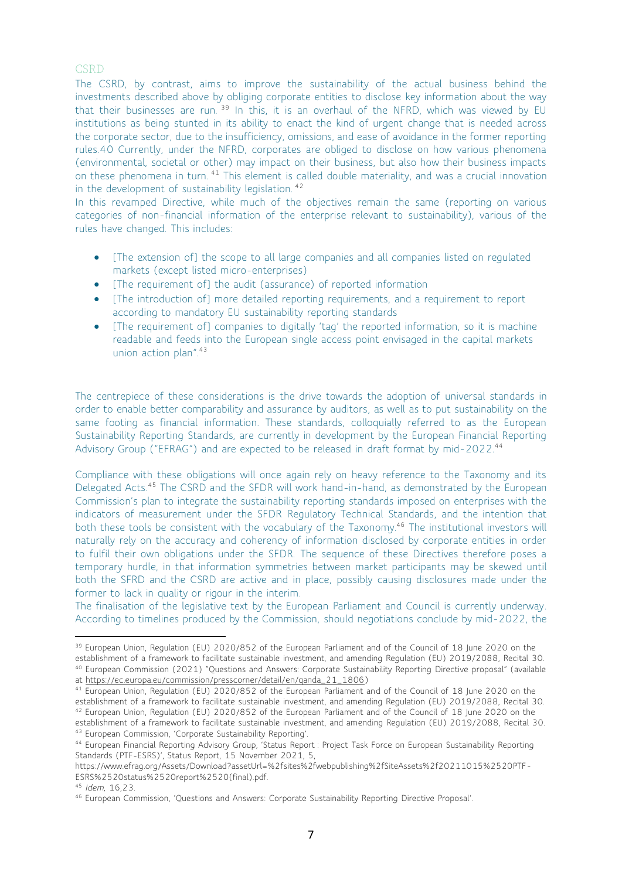### **CSRD**

The CSRD, by contrast, aims to improve the sustainability of the actual business behind the investments described above by obliging corporate entities to disclose key information about the way that their businesses are run.<sup>39</sup> In this, it is an overhaul of the NFRD, which was viewed by EU institutions as being stunted in its ability to enact the kind of urgent change that is needed across the corporate sector, due to the insufficiency, omissions, and ease of avoidance in the former reporting rules.40 Currently, under the NFRD, corporates are obliged to disclose on how various phenomena (environmental, societal or other) may impact on their business, but also how their business impacts on these phenomena in turn. <sup>41</sup> This element is called double materiality, and was a crucial innovation in the development of sustainability legislation. <sup>42</sup>

In this revamped Directive, while much of the objectives remain the same (reporting on various categories of non-financial information of the enterprise relevant to sustainability), various of the rules have changed. This includes:

- [The extension of] the scope to all large companies and all companies listed on regulated markets (except listed micro-enterprises)
- [The requirement of] the audit (assurance) of reported information
- [The introduction of] more detailed reporting requirements, and a requirement to report according to mandatory EU sustainability reporting standards
- [The requirement of] companies to digitally 'tag' the reported information, so it is machine readable and feeds into the European single access point envisaged in the capital markets union action plan".<sup>43</sup>

The centrepiece of these considerations is the drive towards the adoption of universal standards in order to enable better comparability and assurance by auditors, as well as to put sustainability on the same footing as financial information. These standards, colloquially referred to as the European Sustainability Reporting Standards, are currently in development by the European Financial Reporting Advisory Group ("EFRAG") and are expected to be released in draft format by mid-2022.<sup>44</sup>

Compliance with these obligations will once again rely on heavy reference to the Taxonomy and its Delegated Acts.<sup>45</sup> The CSRD and the SFDR will work hand-in-hand, as demonstrated by the European Commission's plan to integrate the sustainability reporting standards imposed on enterprises with the indicators of measurement under the SFDR Regulatory Technical Standards, and the intention that both these tools be consistent with the vocabulary of the Taxonomy.<sup>46</sup> The institutional investors will naturally rely on the accuracy and coherency of information disclosed by corporate entities in order to fulfil their own obligations under the SFDR. The sequence of these Directives therefore poses a temporary hurdle, in that information symmetries between market participants may be skewed until both the SFRD and the CSRD are active and in place, possibly causing disclosures made under the former to lack in quality or rigour in the interim.

The finalisation of the legislative text by the European Parliament and Council is currently underway. According to timelines produced by the Commission, should negotiations conclude by mid-2022, the

<sup>&</sup>lt;sup>39</sup> European Union, Regulation (EU) 2020/852 of the European Parliament and of the Council of 18 June 2020 on the establishment of a framework to facilitate sustainable investment, and amending Regulation (EU) 2019/2088, Recital 30. <sup>40</sup> European Commission (2021) "Questions and Answers: Corporate Sustainability Reporting Directive proposal" (available

at [https://ec.europa.eu/commission/presscorner/detail/en/qanda\\_21\\_1806\)](https://ec.europa.eu/commission/presscorner/detail/en/qanda_21_1806)

<sup>41</sup> European Union, Regulation (EU) 2020/852 of the European Parliament and of the Council of 18 June 2020 on the establishment of a framework to facilitate sustainable investment, and amending Regulation (EU) 2019/2088, Recital 30.

<sup>42</sup> European Union, Regulation (EU) 2020/852 of the European Parliament and of the Council of 18 June 2020 on the establishment of a framework to facilitate sustainable investment, and amending Regulation (EU) 2019/2088, Recital 30.

<sup>43</sup> European Commission, 'Corporate Sustainability Reporting'.

<sup>44</sup> European Financial Reporting Advisory Group, 'Status Report : Project Task Force on European Sustainability Reporting Standards (PTF-ESRS)', Status Report, 15 November 2021, 5,

https://www.efrag.org/Assets/Download?assetUrl=%2fsites%2fwebpublishing%2fSiteAssets%2f20211015%2520PTF-ESRS%2520status%2520report%2520(final).pdf.

<sup>45</sup> *Idem,* 16,23.

<sup>46</sup> European Commission, 'Questions and Answers: Corporate Sustainability Reporting Directive Proposal'.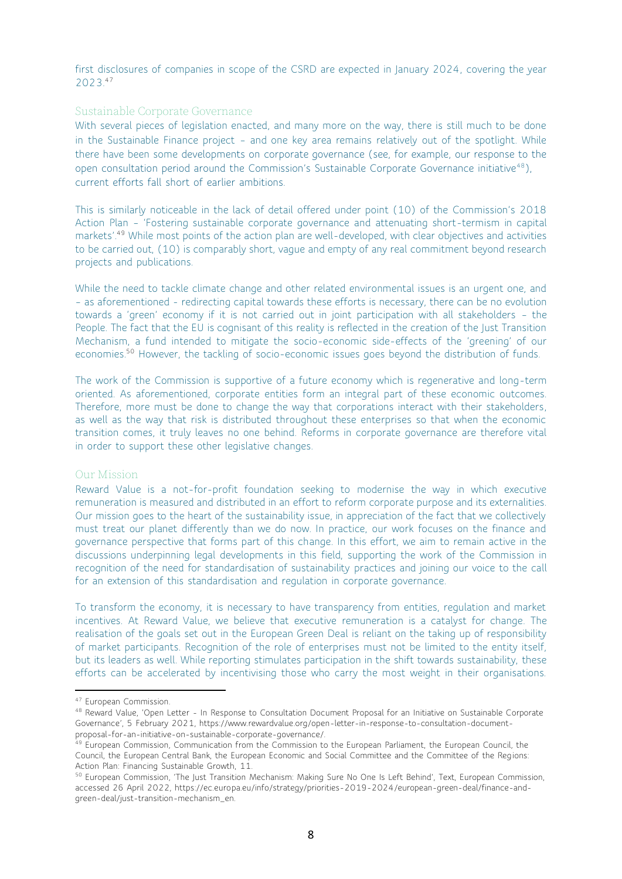first disclosures of companies in scope of the CSRD are expected in January 2024, covering the year 2023.<sup>47</sup>

#### Sustainable Corporate Governance

With several pieces of legislation enacted, and many more on the way, there is still much to be done in the Sustainable Finance project – and one key area remains relatively out of the spotlight. While there have been some developments on corporate governance (see, for example, our response to the open consultation period around the Commission's Sustainable Corporate Governance initiative<sup>48</sup>), current efforts fall short of earlier ambitions.

This is similarly noticeable in the lack of detail offered under point (10) of the Commission's 2018 Action Plan – 'Fostering sustainable corporate governance and attenuating short-termism in capital markets'. <sup>49</sup> While most points of the action plan are well-developed, with clear objectives and activities to be carried out, (10) is comparably short, vague and empty of any real commitment beyond research projects and publications.

While the need to tackle climate change and other related environmental issues is an urgent one, and – as aforementioned - redirecting capital towards these efforts is necessary, there can be no evolution towards a 'green' economy if it is not carried out in joint participation with all stakeholders – the People. The fact that the EU is cognisant of this reality is reflected in the creation of the Just Transition Mechanism, a fund intended to mitigate the socio-economic side-effects of the 'greening' of our economies.<sup>50</sup> However, the tackling of socio-economic issues goes beyond the distribution of funds.

The work of the Commission is supportive of a future economy which is regenerative and long-term oriented. As aforementioned, corporate entities form an integral part of these economic outcomes. Therefore, more must be done to change the way that corporations interact with their stakeholders, as well as the way that risk is distributed throughout these enterprises so that when the economic transition comes, it truly leaves no one behind. Reforms in corporate governance are therefore vital in order to support these other legislative changes.

### Our Mission

Reward Value is a not-for-profit foundation seeking to modernise the way in which executive remuneration is measured and distributed in an effort to reform corporate purpose and its externalities. Our mission goes to the heart of the sustainability issue, in appreciation of the fact that we collectively must treat our planet differently than we do now. In practice, our work focuses on the finance and governance perspective that forms part of this change. In this effort, we aim to remain active in the discussions underpinning legal developments in this field, supporting the work of the Commission in recognition of the need for standardisation of sustainability practices and joining our voice to the call for an extension of this standardisation and regulation in corporate governance.

To transform the economy, it is necessary to have transparency from entities, regulation and market incentives. At Reward Value, we believe that executive remuneration is a catalyst for change. The realisation of the goals set out in the European Green Deal is reliant on the taking up of responsibility of market participants. Recognition of the role of enterprises must not be limited to the entity itself, but its leaders as well. While reporting stimulates participation in the shift towards sustainability, these efforts can be accelerated by incentivising those who carry the most weight in their organisations.

<sup>47</sup> European Commission.

<sup>48</sup> Reward Value, 'Open Letter - In Response to Consultation Document Proposal for an Initiative on Sustainable Corporate Governance', 5 February 2021, https://www.rewardvalue.org/open-letter-in-response-to-consultation-documentproposal-for-an-initiative-on-sustainable-corporate-governance/.

<sup>&</sup>lt;sup>49</sup> European Commission, Communication from the Commission to the European Parliament, the European Council, the Council, the European Central Bank, the European Economic and Social Committee and the Committee of the Regions: Action Plan: Financing Sustainable Growth, 11.

<sup>&</sup>lt;sup>50</sup> European Commission, 'The Just Transition Mechanism: Making Sure No One Is Left Behind', Text, European Commission, accessed 26 April 2022, https://ec.europa.eu/info/strategy/priorities-2019-2024/european-green-deal/finance-andgreen-deal/just-transition-mechanism\_en.